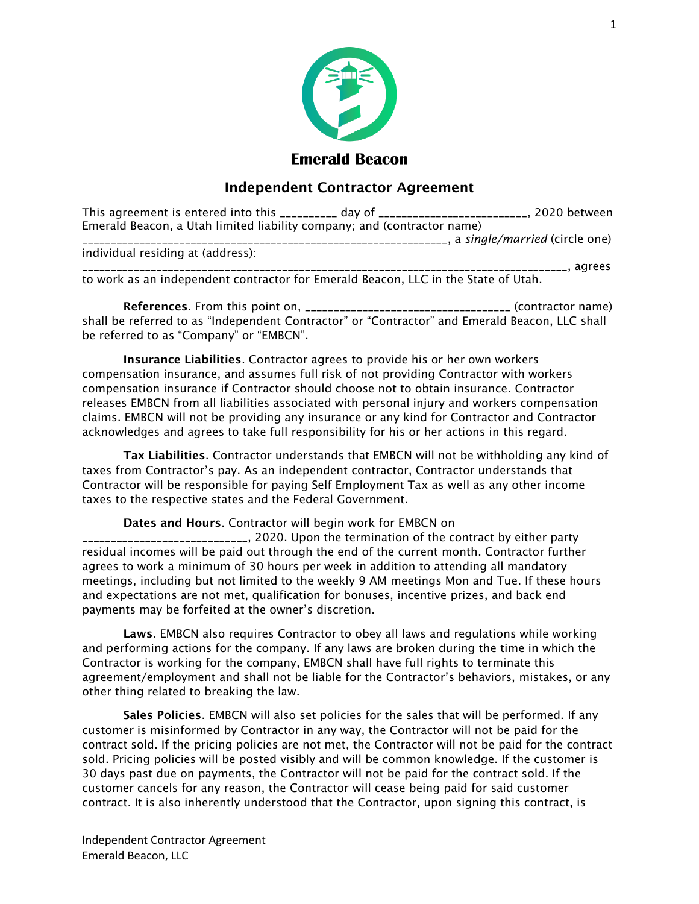

## **Emerald Beacon**

## Independent Contractor Agreement

| This agreement is entered into this __________ day of _________________________, | ., 2020 between               |
|----------------------------------------------------------------------------------|-------------------------------|
| Emerald Beacon, a Utah limited liability company; and (contractor name)          |                               |
|                                                                                  | a single/married (circle one) |

individual residing at (address):

\_\_\_\_, agrees to work as an independent contractor for Emerald Beacon, LLC in the State of Utah.

References. From this point on, \_\_\_\_\_\_\_\_\_\_\_\_\_\_\_\_\_\_\_\_\_\_\_\_\_\_\_\_\_\_\_\_\_\_\_\_ (contractor name) shall be referred to as "Independent Contractor" or "Contractor" and Emerald Beacon, LLC shall be referred to as "Company" or "EMBCN".

Insurance Liabilities. Contractor agrees to provide his or her own workers compensation insurance, and assumes full risk of not providing Contractor with workers compensation insurance if Contractor should choose not to obtain insurance. Contractor releases EMBCN from all liabilities associated with personal injury and workers compensation claims. EMBCN will not be providing any insurance or any kind for Contractor and Contractor acknowledges and agrees to take full responsibility for his or her actions in this regard.

Tax Liabilities. Contractor understands that EMBCN will not be withholding any kind of taxes from Contractor's pay. As an independent contractor, Contractor understands that Contractor will be responsible for paying Self Employment Tax as well as any other income taxes to the respective states and the Federal Government.

Dates and Hours. Contractor will begin work for EMBCN on

\_\_\_\_\_\_\_\_\_\_\_\_\_\_\_\_\_\_\_\_\_\_\_\_\_\_\_\_\_, 2020. Upon the termination of the contract by either party residual incomes will be paid out through the end of the current month. Contractor further agrees to work a minimum of 30 hours per week in addition to attending all mandatory meetings, including but not limited to the weekly 9 AM meetings Mon and Tue. If these hours and expectations are not met, qualification for bonuses, incentive prizes, and back end payments may be forfeited at the owner's discretion.

Laws. EMBCN also requires Contractor to obey all laws and regulations while working and performing actions for the company. If any laws are broken during the time in which the Contractor is working for the company, EMBCN shall have full rights to terminate this agreement/employment and shall not be liable for the Contractor's behaviors, mistakes, or any other thing related to breaking the law.

Sales Policies. EMBCN will also set policies for the sales that will be performed. If any customer is misinformed by Contractor in any way, the Contractor will not be paid for the contract sold. If the pricing policies are not met, the Contractor will not be paid for the contract sold. Pricing policies will be posted visibly and will be common knowledge. If the customer is 30 days past due on payments, the Contractor will not be paid for the contract sold. If the customer cancels for any reason, the Contractor will cease being paid for said customer contract. It is also inherently understood that the Contractor, upon signing this contract, is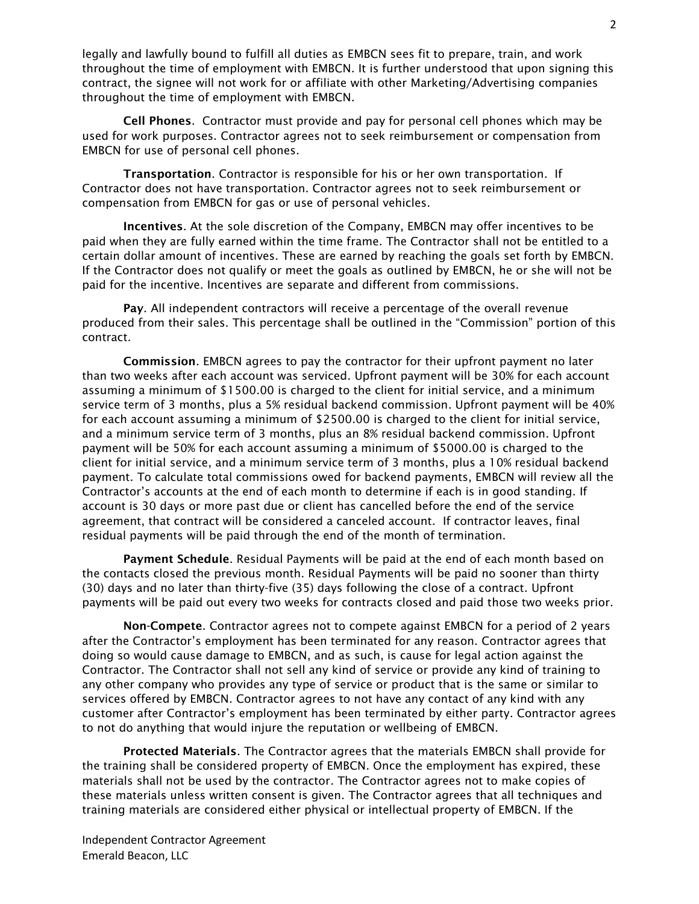legally and lawfully bound to fulfill all duties as EMBCN sees fit to prepare, train, and work throughout the time of employment with EMBCN. It is further understood that upon signing this contract, the signee will not work for or affiliate with other Marketing/Advertising companies throughout the time of employment with EMBCN.

Cell Phones. Contractor must provide and pay for personal cell phones which may be used for work purposes. Contractor agrees not to seek reimbursement or compensation from EMBCN for use of personal cell phones.

Transportation. Contractor is responsible for his or her own transportation. If Contractor does not have transportation. Contractor agrees not to seek reimbursement or compensation from EMBCN for gas or use of personal vehicles.

Incentives. At the sole discretion of the Company, EMBCN may offer incentives to be paid when they are fully earned within the time frame. The Contractor shall not be entitled to a certain dollar amount of incentives. These are earned by reaching the goals set forth by EMBCN. If the Contractor does not qualify or meet the goals as outlined by EMBCN, he or she will not be paid for the incentive. Incentives are separate and different from commissions.

Pay. All independent contractors will receive a percentage of the overall revenue produced from their sales. This percentage shall be outlined in the "Commission" portion of this contract.

Commission. EMBCN agrees to pay the contractor for their upfront payment no later than two weeks after each account was serviced. Upfront payment will be 30% for each account assuming a minimum of \$1500.00 is charged to the client for initial service, and a minimum service term of 3 months, plus a 5% residual backend commission. Upfront payment will be 40% for each account assuming a minimum of \$2500.00 is charged to the client for initial service, and a minimum service term of 3 months, plus an 8% residual backend commission. Upfront payment will be 50% for each account assuming a minimum of \$5000.00 is charged to the client for initial service, and a minimum service term of 3 months, plus a 10% residual backend payment. To calculate total commissions owed for backend payments, EMBCN will review all the Contractor's accounts at the end of each month to determine if each is in good standing. If account is 30 days or more past due or client has cancelled before the end of the service agreement, that contract will be considered a canceled account. If contractor leaves, final residual payments will be paid through the end of the month of termination.

Payment Schedule. Residual Payments will be paid at the end of each month based on the contacts closed the previous month. Residual Payments will be paid no sooner than thirty (30) days and no later than thirty-five (35) days following the close of a contract. Upfront payments will be paid out every two weeks for contracts closed and paid those two weeks prior.

Non-Compete. Contractor agrees not to compete against EMBCN for a period of 2 years after the Contractor's employment has been terminated for any reason. Contractor agrees that doing so would cause damage to EMBCN, and as such, is cause for legal action against the Contractor. The Contractor shall not sell any kind of service or provide any kind of training to any other company who provides any type of service or product that is the same or similar to services offered by EMBCN. Contractor agrees to not have any contact of any kind with any customer after Contractor's employment has been terminated by either party. Contractor agrees to not do anything that would injure the reputation or wellbeing of EMBCN.

Protected Materials. The Contractor agrees that the materials EMBCN shall provide for the training shall be considered property of EMBCN. Once the employment has expired, these materials shall not be used by the contractor. The Contractor agrees not to make copies of these materials unless written consent is given. The Contractor agrees that all techniques and training materials are considered either physical or intellectual property of EMBCN. If the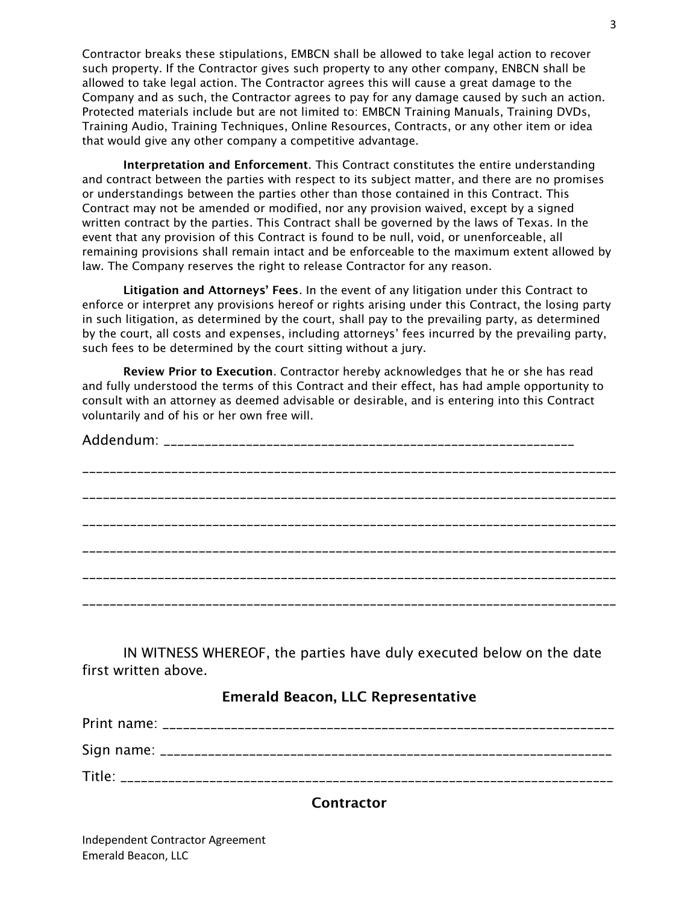Contractor breaks these stipulations, EMBCN shall be allowed to take legal action to recover such property. If the Contractor gives such property to any other company, ENBCN shall be allowed to take legal action. The Contractor agrees this will cause a great damage to the Company and as such, the Contractor agrees to pay for any damage caused by such an action. Protected materials include but are not limited to: EMBCN Training Manuals, Training DVDs, Training Audio, Training Techniques, Online Resources, Contracts, or any other item or idea that would give any other company a competitive advantage.

Interpretation and Enforcement. This Contract constitutes the entire understanding and contract between the parties with respect to its subject matter, and there are no promises or understandings between the parties other than those contained in this Contract. This Contract may not be amended or modified, nor any provision waived, except by a signed written contract by the parties. This Contract shall be governed by the laws of Texas. In the event that any provision of this Contract is found to be null, void, or unenforceable, all remaining provisions shall remain intact and be enforceable to the maximum extent allowed by law. The Company reserves the right to release Contractor for any reason.

Litigation and Attorneys' Fees. In the event of any litigation under this Contract to enforce or interpret any provisions hereof or rights arising under this Contract, the losing party in such litigation, as determined by the court, shall pay to the prevailing party, as determined by the court, all costs and expenses, including attorneys' fees incurred by the prevailing party, such fees to be determined by the court sitting without a jury.

Review Prior to Execution. Contractor hereby acknowledges that he or she has read and fully understood the terms of this Contract and their effect, has had ample opportunity to consult with an attorney as deemed advisable or desirable, and is entering into this Contract voluntarily and of his or her own free will.

IN WITNESS WHEREOF, the parties have duly executed below on the date first written above.

## Emerald Beacon, LLC Representative

| Title: |
|--------|

## **Contractor**